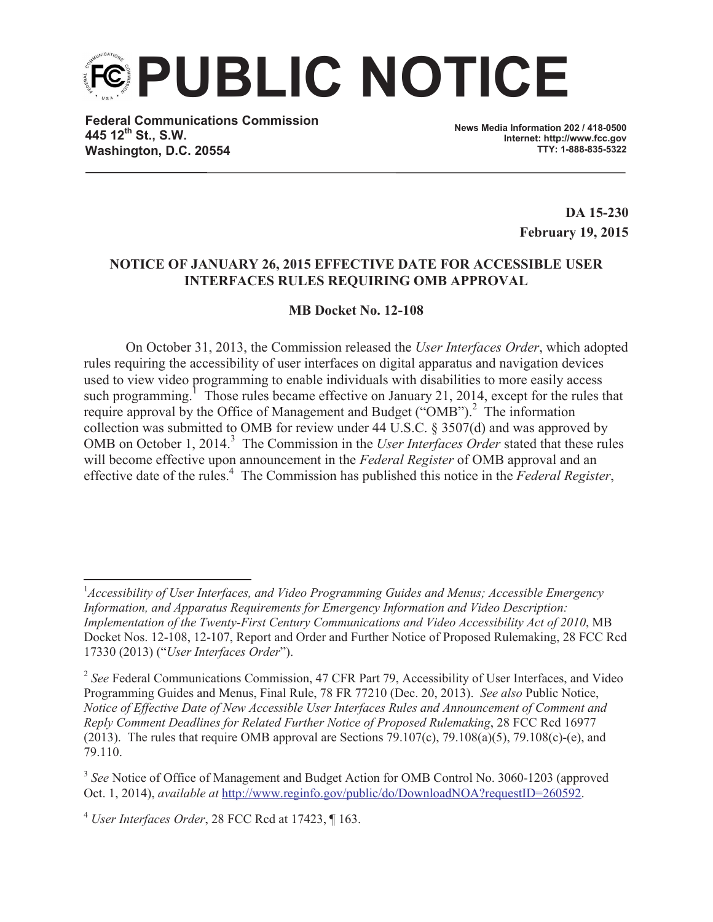**PUBLIC NOTICE**

**Federal Communications Commission 445 12th St., S.W. Washington, D.C. 20554**

**News Media Information 202 / 418-0500 Internet: http://www.fcc.gov TTY: 1-888-835-5322**

> **DA 15-230 February 19, 2015**

## **NOTICE OF JANUARY 26, 2015 EFFECTIVE DATE FOR ACCESSIBLE USER INTERFACES RULES REQUIRING OMB APPROVAL**

## **MB Docket No. 12-108**

On October 31, 2013, the Commission released the *User Interfaces Order*, which adopted rules requiring the accessibility of user interfaces on digital apparatus and navigation devices used to view video programming to enable individuals with disabilities to more easily access such programming.<sup>1</sup> Those rules became effective on January 21, 2014, except for the rules that require approval by the Office of Management and Budget ("OMB").<sup>2</sup> The information collection was submitted to OMB for review under 44 U.S.C. § 3507(d) and was approved by OMB on October 1, 2014.<sup>3</sup> The Commission in the *User Interfaces Order* stated that these rules will become effective upon announcement in the *Federal Register* of OMB approval and an effective date of the rules.<sup>4</sup> The Commission has published this notice in the *Federal Register*,

<sup>3</sup> See Notice of Office of Management and Budget Action for OMB Control No. 3060-1203 (approved Oct. 1, 2014), *available at* http://www.reginfo.gov/public/do/DownloadNOA?requestID=260592.

<sup>&</sup>lt;sup>1</sup> Accessibility of User Interfaces, and Video Programming Guides and Menus; Accessible Emergency *Information, and Apparatus Requirements for Emergency Information and Video Description: Implementation of the Twenty-First Century Communications and Video Accessibility Act of 2010*, MB Docket Nos. 12-108, 12-107, Report and Order and Further Notice of Proposed Rulemaking, 28 FCC Rcd 17330 (2013) ("*User Interfaces Order*").

<sup>&</sup>lt;sup>2</sup> See Federal Communications Commission, 47 CFR Part 79, Accessibility of User Interfaces, and Video Programming Guides and Menus, Final Rule, 78 FR 77210 (Dec. 20, 2013). *See also* Public Notice, *Notice of Effective Date of New Accessible User Interfaces Rules and Announcement of Comment and Reply Comment Deadlines for Related Further Notice of Proposed Rulemaking*, 28 FCC Rcd 16977 (2013). The rules that require OMB approval are Sections 79.107(c), 79.108(a)(5), 79.108(c)-(e), and 79.110.

<sup>4</sup> *User Interfaces Order*, 28 FCC Rcd at 17423, ¶ 163.